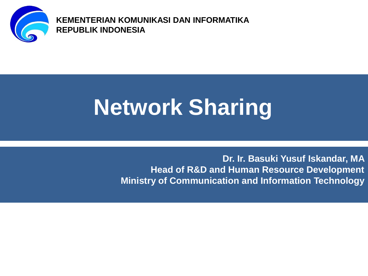

**KEMENTERIAN KOMUNIKASI DAN INFORMATIKA REPUBLIK INDONESIA**

# **Network Sharing**

**Dr. Ir. Basuki Yusuf Iskandar, MA Head of R&D and Human Resource Development Ministry of Communication and Information Technology**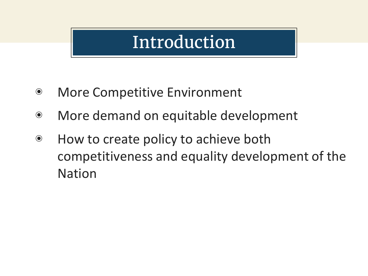#### Introduction

- ◉ More Competitive Environment
- ◉ More demand on equitable development
- ◉ How to create policy to achieve both competitiveness and equality development of the Nation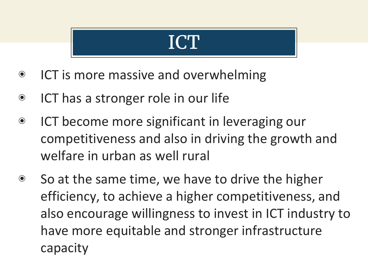#### ICT

- ◉ ICT is more massive and overwhelming
- ◉ ICT has a stronger role in our life
- ◉ ICT become more significant in leveraging our competitiveness and also in driving the growth and welfare in urban as well rural
- ◉ So at the same time, we have to drive the higher efficiency, to achieve a higher competitiveness, and also encourage willingness to invest in ICT industry to have more equitable and stronger infrastructure capacity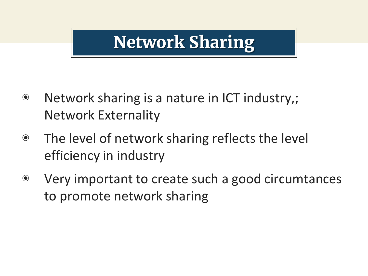### **Network Sharing**

- ◉ Network sharing is a nature in ICT industry,; Network Externality
- ◉ The level of network sharing reflects the level efficiency in industry
- ◉ Very important to create such a good circumtances to promote network sharing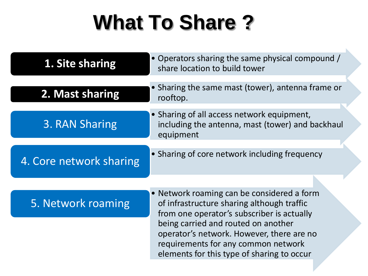## **What To Share ?**

 $\mathbf{h}_i$ 

| 1. Site sharing         | Operators sharing the same physical compound /<br>share location to build tower                                                                                                                                                                                                                                 |
|-------------------------|-----------------------------------------------------------------------------------------------------------------------------------------------------------------------------------------------------------------------------------------------------------------------------------------------------------------|
| 2. Mast sharing         | Sharing the same mast (tower), antenna frame or<br>rooftop.                                                                                                                                                                                                                                                     |
| 3. RAN Sharing          | • Sharing of all access network equipment,<br>including the antenna, mast (tower) and backhaul<br>equipment                                                                                                                                                                                                     |
| 4. Core network sharing | • Sharing of core network including frequency                                                                                                                                                                                                                                                                   |
| 5. Network roaming      | • Network roaming can be considered a form<br>of infrastructure sharing although traffic<br>from one operator's subscriber is actually<br>being carried and routed on another<br>operator's network. However, there are no<br>requirements for any common network<br>elements for this type of sharing to occur |